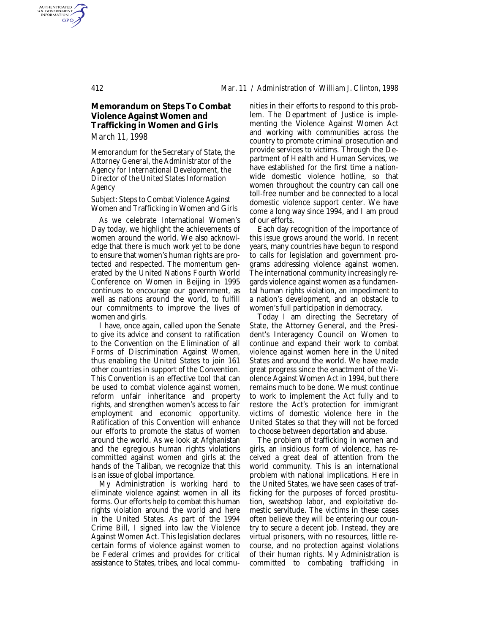## **Memorandum on Steps To Combat Violence Against Women and Trafficking in Women and Girls** *March 11, 1998*

*Memorandum for the Secretary of State, the Attorney General, the Administrator of the Agency for International Development, the Director of the United States Information Agency*

*Subject:* Steps to Combat Violence Against Women and Trafficking in Women and Girls

As we celebrate International Women's Day today, we highlight the achievements of women around the world. We also acknowledge that there is much work yet to be done to ensure that women's human rights are protected and respected. The momentum generated by the United Nations Fourth World Conference on Women in Beijing in 1995 continues to encourage our government, as well as nations around the world, to fulfill our commitments to improve the lives of women and girls.

I have, once again, called upon the Senate to give its advice and consent to ratification to the Convention on the Elimination of all Forms of Discrimination Against Women, thus enabling the United States to join 161 other countries in support of the Convention. This Convention is an effective tool that can be used to combat violence against women, reform unfair inheritance and property rights, and strengthen women's access to fair employment and economic opportunity. Ratification of this Convention will enhance our efforts to promote the status of women around the world. As we look at Afghanistan and the egregious human rights violations committed against women and girls at the hands of the Taliban, we recognize that this is an issue of global importance.

My Administration is working hard to eliminate violence against women in all its forms. Our efforts help to combat this human rights violation around the world and here in the United States. As part of the 1994 Crime Bill, I signed into law the Violence Against Women Act. This legislation declares certain forms of violence against women to be Federal crimes and provides for critical assistance to States, tribes, and local commu-

nities in their efforts to respond to this problem. The Department of Justice is implementing the Violence Against Women Act and working with communities across the country to promote criminal prosecution and provide services to victims. Through the Department of Health and Human Services, we have established for the first time a nationwide domestic violence hotline, so that women throughout the country can call one toll-free number and be connected to a local domestic violence support center. We have come a long way since 1994, and I am proud of our efforts.

Each day recognition of the importance of this issue grows around the world. In recent years, many countries have begun to respond to calls for legislation and government programs addressing violence against women. The international community increasingly regards violence against women as a fundamental human rights violation, an impediment to a nation's development, and an obstacle to women's full participation in democracy.

Today I am directing the Secretary of State, the Attorney General, and the President's Interagency Council on Women to continue and expand their work to combat violence against women here in the United States and around the world. We have made great progress since the enactment of the Violence Against Women Act in 1994, but there remains much to be done. We must continue to work to implement the Act fully and to restore the Act's protection for immigrant victims of domestic violence here in the United States so that they will not be forced to choose between deportation and abuse.

The problem of trafficking in women and girls, an insidious form of violence, has received a great deal of attention from the world community. This is an international problem with national implications. Here in the United States, we have seen cases of trafficking for the purposes of forced prostitution, sweatshop labor, and exploitative domestic servitude. The victims in these cases often believe they will be entering our country to secure a decent job. Instead, they are virtual prisoners, with no resources, little recourse, and no protection against violations of their human rights. My Administration is committed to combating trafficking in

AUTHENTICATED<br>U.S. GOVERNMENT<br>INFORMATION GPO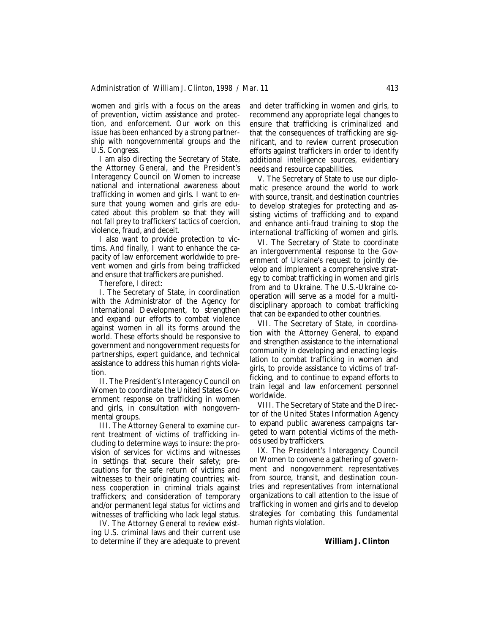women and girls with a focus on the areas of prevention, victim assistance and protection, and enforcement. Our work on this issue has been enhanced by a strong partnership with nongovernmental groups and the U.S. Congress.

I am also directing the Secretary of State, the Attorney General, and the President's Interagency Council on Women to increase national and international awareness about trafficking in women and girls. I want to ensure that young women and girls are educated about this problem so that they will not fall prey to traffickers' tactics of coercion, violence, fraud, and deceit.

I also want to provide protection to victims. And finally, I want to enhance the capacity of law enforcement worldwide to prevent women and girls from being trafficked and ensure that traffickers are punished.

Therefore, I direct:

I. The Secretary of State, in coordination with the Administrator of the Agency for International Development, to strengthen and expand our efforts to combat violence against women in all its forms around the world. These efforts should be responsive to government and nongovernment requests for partnerships, expert guidance, and technical assistance to address this human rights violation.

II. The President's Interagency Council on Women to coordinate the United States Government response on trafficking in women and girls, in consultation with nongovernmental groups.

III. The Attorney General to examine current treatment of victims of trafficking including to determine ways to insure: the provision of services for victims and witnesses in settings that secure their safety; precautions for the safe return of victims and witnesses to their originating countries; witness cooperation in criminal trials against traffickers; and consideration of temporary and/or permanent legal status for victims and witnesses of trafficking who lack legal status.

IV. The Attorney General to review existing U.S. criminal laws and their current use to determine if they are adequate to prevent and deter trafficking in women and girls, to recommend any appropriate legal changes to ensure that trafficking is criminalized and that the consequences of trafficking are significant, and to review current prosecution efforts against traffickers in order to identify additional intelligence sources, evidentiary needs and resource capabilities.

V. The Secretary of State to use our diplomatic presence around the world to work with source, transit, and destination countries to develop strategies for protecting and assisting victims of trafficking and to expand and enhance anti-fraud training to stop the international trafficking of women and girls.

VI. The Secretary of State to coordinate an intergovernmental response to the Government of Ukraine's request to jointly develop and implement a comprehensive strategy to combat trafficking in women and girls from and to Ukraine. The U.S.-Ukraine cooperation will serve as a model for a multidisciplinary approach to combat trafficking that can be expanded to other countries.

VII. The Secretary of State, in coordination with the Attorney General, to expand and strengthen assistance to the international community in developing and enacting legislation to combat trafficking in women and girls, to provide assistance to victims of trafficking, and to continue to expand efforts to train legal and law enforcement personnel worldwide.

VIII. The Secretary of State and the Director of the United States Information Agency to expand public awareness campaigns targeted to warn potential victims of the methods used by traffickers.

IX. The President's Interagency Council on Women to convene a gathering of government and nongovernment representatives from source, transit, and destination countries and representatives from international organizations to call attention to the issue of trafficking in women and girls and to develop strategies for combating this fundamental human rights violation.

### **William J. Clinton**